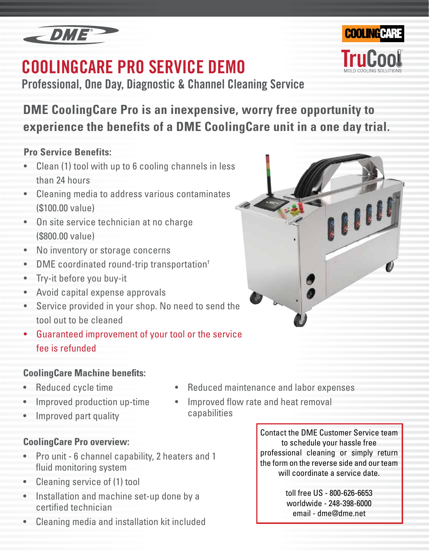

## **COOLINGCARE PRO SERVICE DEMO**

**Professional, One Day, Diagnostic & Channel Cleaning Service**



## **Pro Service Benefits:**

- Clean (1) tool with up to 6 cooling channels in less than 24 hours
- Cleaning media to address various contaminates (\$100.00 value)
- On site service technician at no charge (\$800.00 value)
- No inventory or storage concerns
- DME coordinated round-trip transportation<sup>†</sup>
- Try-it before you buy-it
- Avoid capital expense approvals
- Service provided in your shop. No need to send the tool out to be cleaned
- Guaranteed improvement of your tool or the service fee is refunded

### **CoolingCare Machine benefits:**

- Reduced cycle time
- Improved production up-time
- Improved part quality

### **CoolingCare Pro overview:**

- Pro unit 6 channel capability, 2 heaters and 1 fluid monitoring system
- Cleaning service of (1) tool
- Installation and machine set-up done by a certified technician
- Cleaning media and installation kit included
- Reduced maintenance and labor expenses
- Improved flow rate and heat removal capabilities

Contact the DME Customer Service team to schedule your hassle free professional cleaning or simply return the form on the reverse side and our team will coordinate a service date.

> toll free US - 800-626-6653 worldwide - 248-398-6000 email - dme@dme.net